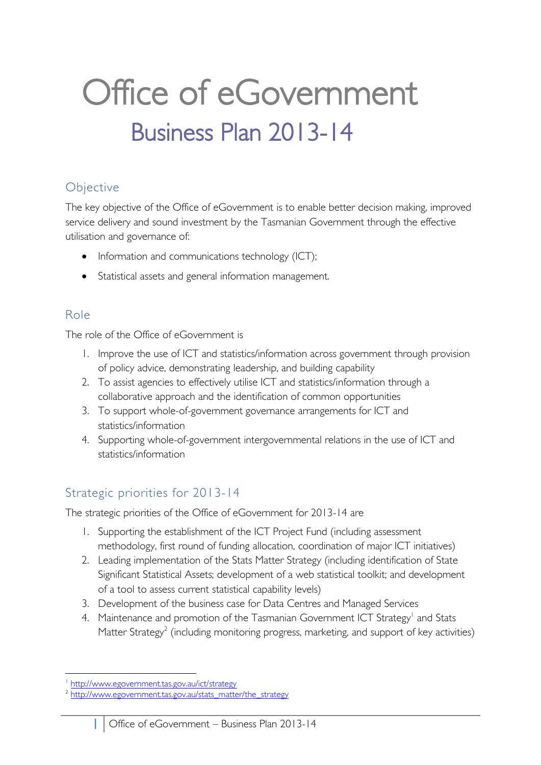## Office of eGovernment Business Plan 2013-14

### Objective

The key objective of the Office of eGovernment is to enable better decision making, improved service delivery and sound investment by the Tasmanian Government through the effective utilisation and governance of:

- Information and communications technology (ICT);
- Statistical assets and general information management.

### Role

The role of the Office of eGovernment is

- 1. Improve the use of ICT and statistics/information across government through provision of policy advice, demonstrating leadership, and building capability
- 2. To assist agencies to effectively utilise ICT and statistics/information through a collaborative approach and the identification of common opportunities
- 3. To support whole-of-government governance arrangements for ICT and statistics/information
- 4. Supporting whole-of-government intergovernmental relations in the use of ICT and statistics/information

### Strategic priorities for 2013-14

The strategic priorities of the Office of eGovernment for 2013-14 are

- 1. Supporting the establishment of the ICT Project Fund (including assessment methodology, first round of funding allocation, coordination of major ICT initiatives)
- 2. Leading implementation of the Stats Matter Strategy (including identification of State Significant Statistical Assets; development of a web statistical toolkit; and development of a tool to assess current statistical capability levels)
- 3. Development of the business case for Data Centres and Managed Services
- 4. Maintenance and promotion of the Tasmanian Government ICT Strategy<sup>1</sup> and Stats Matter Strategy<sup>2</sup> (including monitoring progress, marketing, and support of key activities)

 $\overline{a}$ 1 <http://www.egovernment.tas.gov.au/ict/strategy>

<sup>2</sup> [http://www.egovernment.tas.gov.au/stats\\_matter/the\\_strategy](http://www.egovernment.tas.gov.au/stats_matter/the_strategy)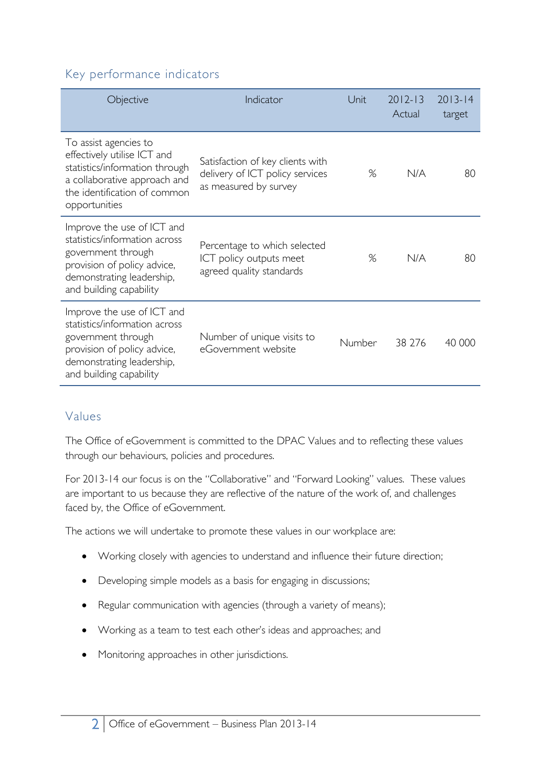#### Key performance indicators

| Objective                                                                                                                                                                | Indicator                                                                                    | Unit   | $2012 - 13$<br>Actual | $2013 - 14$<br>target |
|--------------------------------------------------------------------------------------------------------------------------------------------------------------------------|----------------------------------------------------------------------------------------------|--------|-----------------------|-----------------------|
| To assist agencies to<br>effectively utilise ICT and<br>statistics/information through<br>a collaborative approach and<br>the identification of common<br>opportunities  | Satisfaction of key clients with<br>delivery of ICT policy services<br>as measured by survey | %      | N/A                   | 80                    |
| Improve the use of ICT and<br>statistics/information across<br>government through<br>provision of policy advice,<br>demonstrating leadership,<br>and building capability | Percentage to which selected<br>ICT policy outputs meet<br>agreed quality standards          | %      | N/A                   | 80                    |
| Improve the use of ICT and<br>statistics/information across<br>government through<br>provision of policy advice,<br>demonstrating leadership,<br>and building capability | Number of unique visits to<br>eGovernment website                                            | Number | 38 276                | 40 000                |

#### Values

The Office of eGovernment is committed to the DPAC Values and to reflecting these values through our behaviours, policies and procedures.

For 2013-14 our focus is on the "Collaborative" and "Forward Looking" values. These values are important to us because they are reflective of the nature of the work of, and challenges faced by, the Office of eGovernment.

The actions we will undertake to promote these values in our workplace are:

- Working closely with agencies to understand and influence their future direction;
- Developing simple models as a basis for engaging in discussions;
- Regular communication with agencies (through a variety of means);
- Working as a team to test each other's ideas and approaches; and
- Monitoring approaches in other jurisdictions.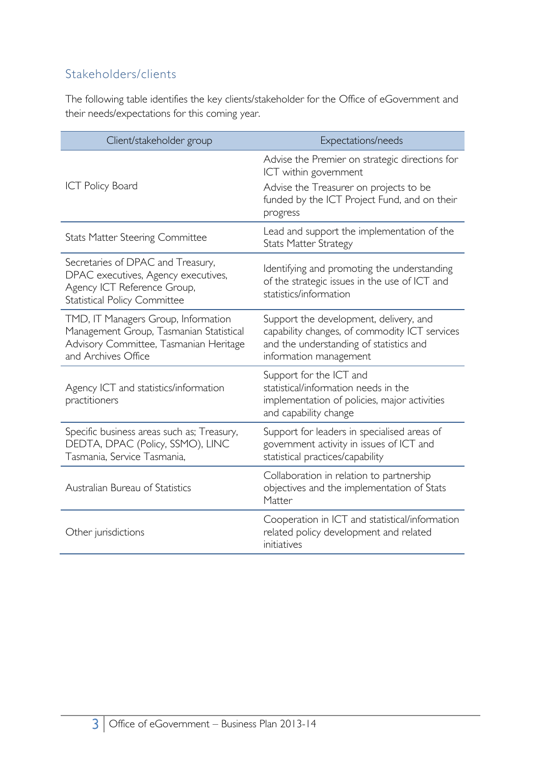### Stakeholders/clients

The following table identifies the key clients/stakeholder for the Office of eGovernment and their needs/expectations for this coming year.

| Client/stakeholder group                                                                                                                        | Expectations/needs                                                                                                                                           |
|-------------------------------------------------------------------------------------------------------------------------------------------------|--------------------------------------------------------------------------------------------------------------------------------------------------------------|
|                                                                                                                                                 | Advise the Premier on strategic directions for<br>ICT within government                                                                                      |
| <b>ICT Policy Board</b>                                                                                                                         | Advise the Treasurer on projects to be<br>funded by the ICT Project Fund, and on their<br>progress                                                           |
| <b>Stats Matter Steering Committee</b>                                                                                                          | Lead and support the implementation of the<br><b>Stats Matter Strategy</b>                                                                                   |
| Secretaries of DPAC and Treasury,<br>DPAC executives, Agency executives,<br>Agency ICT Reference Group,<br><b>Statistical Policy Committee</b>  | Identifying and promoting the understanding<br>of the strategic issues in the use of ICT and<br>statistics/information                                       |
| TMD, IT Managers Group, Information<br>Management Group, Tasmanian Statistical<br>Advisory Committee, Tasmanian Heritage<br>and Archives Office | Support the development, delivery, and<br>capability changes, of commodity ICT services<br>and the understanding of statistics and<br>information management |
| Agency ICT and statistics/information<br>practitioners                                                                                          | Support for the ICT and<br>statistical/information needs in the<br>implementation of policies, major activities<br>and capability change                     |
| Specific business areas such as; Treasury,<br>DEDTA, DPAC (Policy, SSMO), LINC<br>Tasmania, Service Tasmania,                                   | Support for leaders in specialised areas of<br>government activity in issues of ICT and<br>statistical practices/capability                                  |
| Australian Bureau of Statistics                                                                                                                 | Collaboration in relation to partnership<br>objectives and the implementation of Stats<br>Matter                                                             |
| Other jurisdictions                                                                                                                             | Cooperation in ICT and statistical/information<br>related policy development and related<br>initiatives                                                      |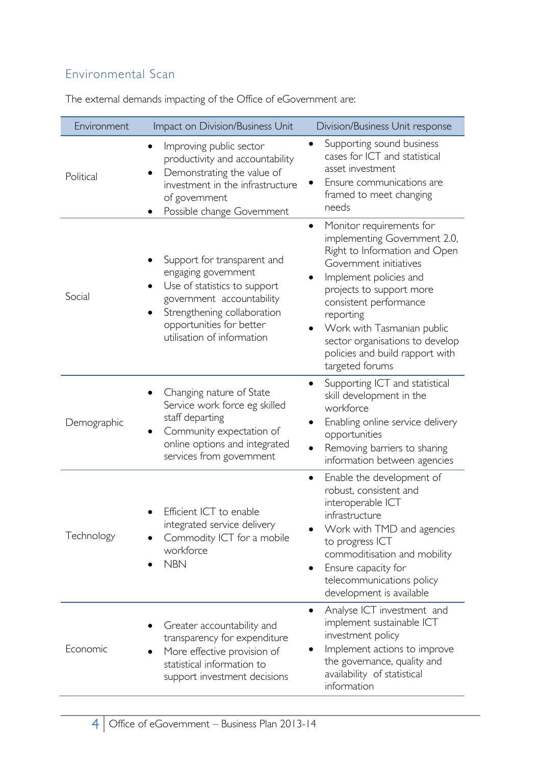### Environmental Scan

| Environment | Impact on Division/Business Unit                                                                                                                                                                                      | Division/Business Unit response                                                                                                                                                                                                                                                                                                                      |
|-------------|-----------------------------------------------------------------------------------------------------------------------------------------------------------------------------------------------------------------------|------------------------------------------------------------------------------------------------------------------------------------------------------------------------------------------------------------------------------------------------------------------------------------------------------------------------------------------------------|
| Political   | Improving public sector<br>$\bullet$<br>productivity and accountability<br>Demonstrating the value of<br>investment in the infrastructure<br>of government<br>Possible change Government                              | Supporting sound business<br>$\bullet$<br>cases for ICT and statistical<br>asset investment<br>Ensure communications are<br>framed to meet changing<br>needs                                                                                                                                                                                         |
| Social      | Support for transparent and<br>engaging government<br>Use of statistics to support<br>government accountability<br>Strengthening collaboration<br>$\bullet$<br>opportunities for better<br>utilisation of information | Monitor requirements for<br>$\bullet$<br>implementing Government 2.0,<br>Right to Information and Open<br>Government initiatives<br>Implement policies and<br>projects to support more<br>consistent performance<br>reporting<br>Work with Tasmanian public<br>sector organisations to develop<br>policies and build rapport with<br>targeted forums |
| Demographic | Changing nature of State<br>Service work force eg skilled<br>staff departing<br>Community expectation of<br>$\bullet$<br>online options and integrated<br>services from government                                    | Supporting ICT and statistical<br>skill development in the<br>workforce<br>Enabling online service delivery<br>opportunities<br>Removing barriers to sharing<br>information between agencies                                                                                                                                                         |
| Technology  | Efficient ICT to enable<br>integrated service delivery<br>Commodity ICT for a mobile<br>workforce<br><b>NBN</b>                                                                                                       | Enable the development of<br>$\bullet$<br>robust, consistent and<br>interoperable ICT<br>infrastructure<br>Work with TMD and agencies<br>to progress ICT<br>commoditisation and mobility<br>Ensure capacity for<br>telecommunications policy<br>development is available                                                                             |
| Economic    | Greater accountability and<br>transparency for expenditure<br>More effective provision of<br>statistical information to<br>support investment decisions                                                               | Analyse ICT investment and<br>implement sustainable ICT<br>investment policy<br>Implement actions to improve<br>the governance, quality and<br>availability of statistical<br>information                                                                                                                                                            |

The external demands impacting of the Office of eGovernment are: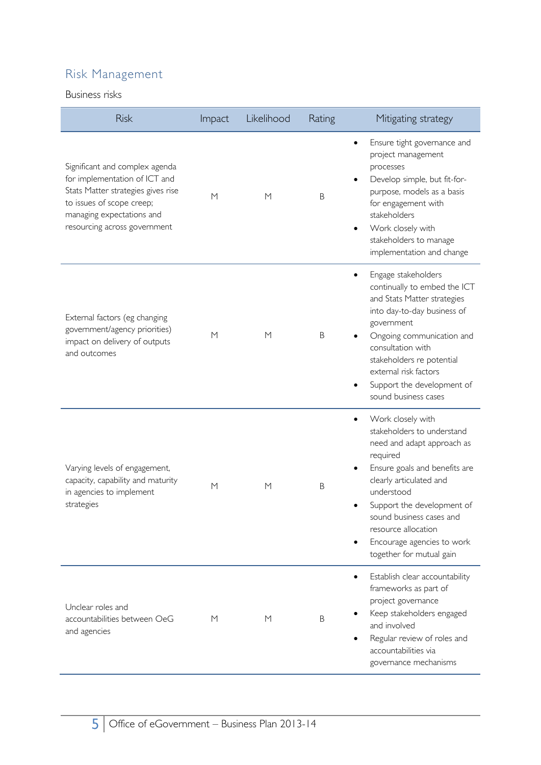### Risk Management

#### Business risks

| <b>Risk</b>                                                                                                                                                                                     | Impact | Likelihood | Rating  | Mitigating strategy                                                                                                                                                                                                                                                                                                         |
|-------------------------------------------------------------------------------------------------------------------------------------------------------------------------------------------------|--------|------------|---------|-----------------------------------------------------------------------------------------------------------------------------------------------------------------------------------------------------------------------------------------------------------------------------------------------------------------------------|
| Significant and complex agenda<br>for implementation of ICT and<br>Stats Matter strategies gives rise<br>to issues of scope creep;<br>managing expectations and<br>resourcing across government | M      | M          | B       | Ensure tight governance and<br>$\bullet$<br>project management<br>processes<br>Develop simple, but fit-for-<br>purpose, models as a basis<br>for engagement with<br>stakeholders<br>Work closely with<br>stakeholders to manage<br>implementation and change                                                                |
| External factors (eg changing<br>government/agency priorities)<br>impact on delivery of outputs<br>and outcomes                                                                                 | M      | M          | B       | Engage stakeholders<br>continually to embed the ICT<br>and Stats Matter strategies<br>into day-to-day business of<br>government<br>Ongoing communication and<br>consultation with<br>stakeholders re potential<br>external risk factors<br>Support the development of<br>sound business cases                               |
| Varying levels of engagement,<br>capacity, capability and maturity<br>in agencies to implement<br>strategies                                                                                    | M      | M          | $\sf B$ | Work closely with<br>$\bullet$<br>stakeholders to understand<br>need and adapt approach as<br>required<br>Ensure goals and benefits are<br>clearly articulated and<br>understood<br>Support the development of<br>sound business cases and<br>resource allocation<br>Encourage agencies to work<br>together for mutual gain |
| Unclear roles and<br>accountabilities between OeG<br>and agencies                                                                                                                               | М      | M          | B       | Establish clear accountability<br>frameworks as part of<br>project governance<br>Keep stakeholders engaged<br>and involved<br>Regular review of roles and<br>accountabilities via<br>governance mechanisms                                                                                                                  |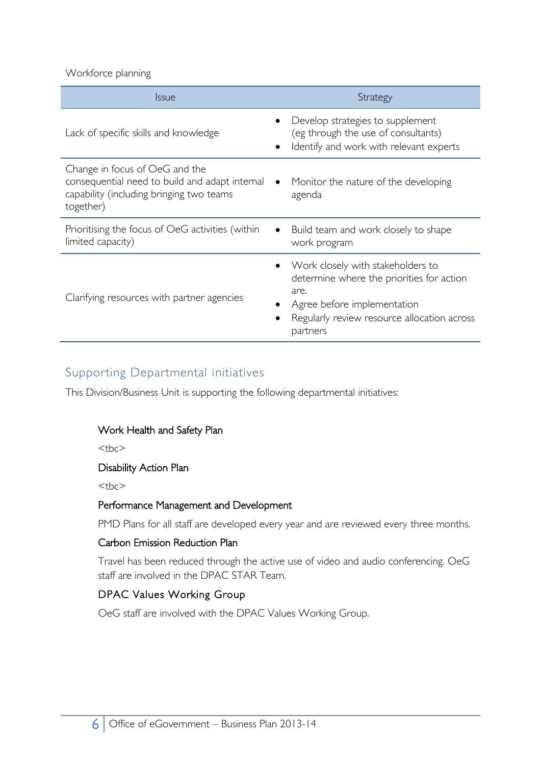Workforce planning

| <i><u><b>Issue</b></u></i>                                                                                                                | Strategy                                                                                                                                                                         |
|-------------------------------------------------------------------------------------------------------------------------------------------|----------------------------------------------------------------------------------------------------------------------------------------------------------------------------------|
| Lack of specific skills and knowledge                                                                                                     | Develop strategies to supplement<br>(eg through the use of consultants)<br>Identify and work with relevant experts                                                               |
| Change in focus of OeG and the<br>consequential need to build and adapt internal<br>capability (including bringing two teams<br>together) | Monitor the nature of the developing<br>$\bullet$<br>agenda                                                                                                                      |
| Prioritising the focus of OeG activities (within<br>limited capacity)                                                                     | Build team and work closely to shape<br>work program                                                                                                                             |
| Clarifying resources with partner agencies                                                                                                | Work closely with stakeholders to<br>determine where the priorities for action<br>are.<br>Agree before implementation<br>Regularly review resource allocation across<br>partners |

#### Supporting Departmental initiatives

This Division/Business Unit is supporting the following departmental initiatives:

#### Work Health and Safety Plan

 $the$ 

#### Disability Action Plan

 $$ 

#### Performance Management and Development

PMD Plans for all staff are developed every year and are reviewed every three months.

#### Carbon Emission Reduction Plan

Travel has been reduced through the active use of video and audio conferencing. OeG staff are involved in the DPAC STAR Team.

#### DPAC Values Working Group

OeG staff are involved with the DPAC Values Working Group.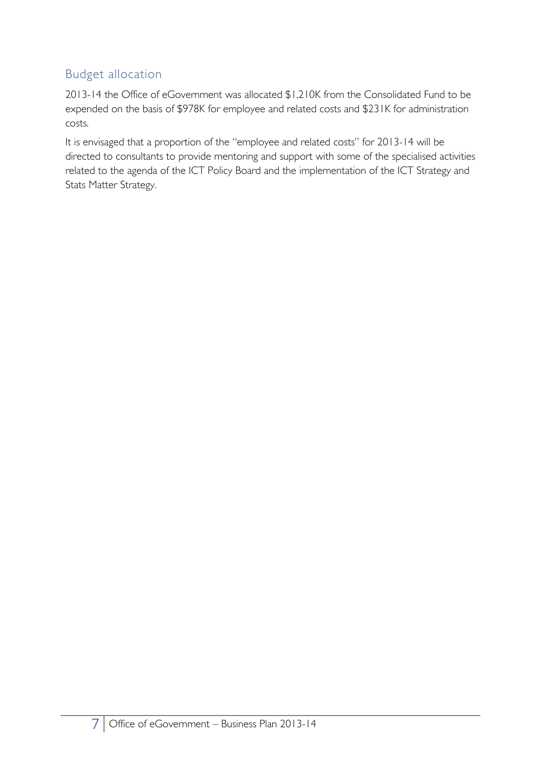### Budget allocation

2013-14 the Office of eGovernment was allocated \$1,210K from the Consolidated Fund to be expended on the basis of \$978K for employee and related costs and \$231K for administration costs.

It is envisaged that a proportion of the "employee and related costs" for 2013-14 will be directed to consultants to provide mentoring and support with some of the specialised activities related to the agenda of the ICT Policy Board and the implementation of the ICT Strategy and Stats Matter Strategy.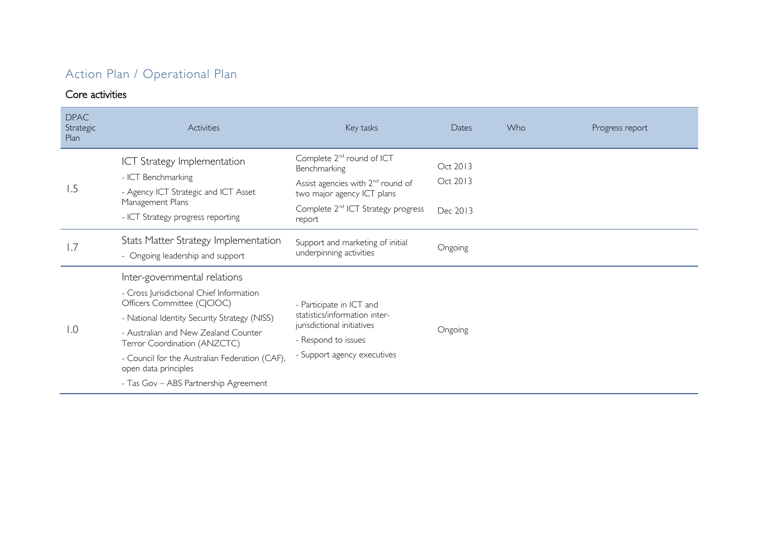### Action Plan / Operational Plan

#### Core activities

| <b>DPAC</b><br>Strategic<br>Plan | Activities                                                                                                                                                                                                                                                                                                                                         | Key tasks                                                                                                                                                                                        | Dates                            | Who | Progress report |
|----------------------------------|----------------------------------------------------------------------------------------------------------------------------------------------------------------------------------------------------------------------------------------------------------------------------------------------------------------------------------------------------|--------------------------------------------------------------------------------------------------------------------------------------------------------------------------------------------------|----------------------------------|-----|-----------------|
| 1.5                              | <b>ICT Strategy Implementation</b><br>- ICT Benchmarking<br>- Agency ICT Strategic and ICT Asset<br>Management Plans<br>- ICT Strategy progress reporting                                                                                                                                                                                          | Complete 2 <sup>nd</sup> round of ICT<br>Benchmarking<br>Assist agencies with 2 <sup>nd</sup> round of<br>two major agency ICT plans<br>Complete 2 <sup>nd</sup> ICT Strategy progress<br>report | Oct 2013<br>Oct 2013<br>Dec 2013 |     |                 |
| 1.7                              | Stats Matter Strategy Implementation<br>- Ongoing leadership and support                                                                                                                                                                                                                                                                           | Support and marketing of initial<br>underpinning activities                                                                                                                                      | Ongoing                          |     |                 |
| $\overline{1.0}$                 | Inter-governmental relations<br>- Cross Jurisdictional Chief Information<br>Officers Committee (CJCIOC)<br>- National Identity Security Strategy (NISS)<br>- Australian and New Zealand Counter<br>Terror Coordination (ANZCTC)<br>- Council for the Australian Federation (CAF),<br>open data principles<br>- Tas Gov - ABS Partnership Agreement | - Participate in ICT and<br>statistics/information inter-<br>jurisdictional initiatives<br>- Respond to issues<br>- Support agency executives                                                    | Ongoing                          |     |                 |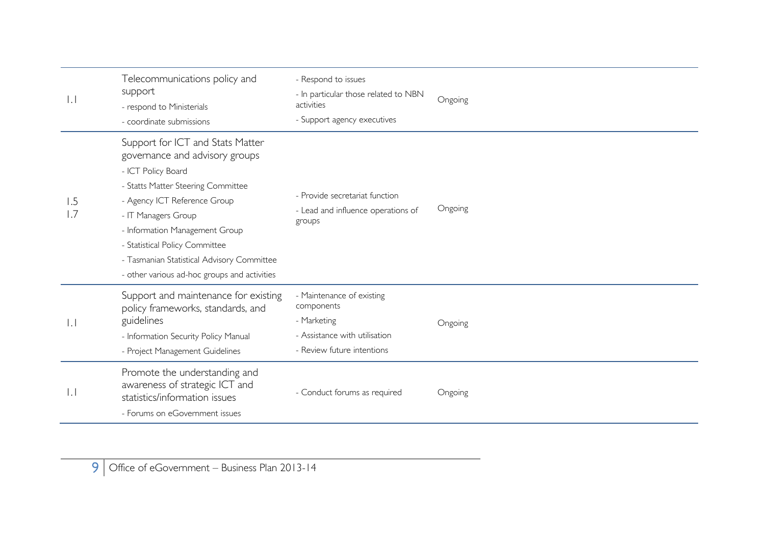| $\perp$             | Telecommunications policy and<br>support<br>- respond to Ministerials<br>- coordinate submissions                                                                                                                                                                                                                                                       | - Respond to issues<br>- In particular those related to NBN<br>activities<br>- Support agency executives              | Ongoing |
|---------------------|---------------------------------------------------------------------------------------------------------------------------------------------------------------------------------------------------------------------------------------------------------------------------------------------------------------------------------------------------------|-----------------------------------------------------------------------------------------------------------------------|---------|
| 1.5<br>1.7          | Support for ICT and Stats Matter<br>governance and advisory groups<br>- ICT Policy Board<br>- Statts Matter Steering Committee<br>- Agency ICT Reference Group<br>- IT Managers Group<br>- Information Management Group<br>- Statistical Policy Committee<br>- Tasmanian Statistical Advisory Committee<br>- other various ad-hoc groups and activities | - Provide secretariat function<br>- Lead and influence operations of<br>groups                                        | Ongoing |
| $\vert \cdot \vert$ | Support and maintenance for existing<br>policy frameworks, standards, and<br>guidelines<br>- Information Security Policy Manual<br>- Project Management Guidelines                                                                                                                                                                                      | - Maintenance of existing<br>components<br>- Marketing<br>- Assistance with utilisation<br>- Review future intentions | Ongoing |
| $\mathsf{L}$ .      | Promote the understanding and<br>awareness of strategic ICT and<br>statistics/information issues<br>- Forums on eGovernment issues                                                                                                                                                                                                                      | - Conduct forums as required                                                                                          | Ongoing |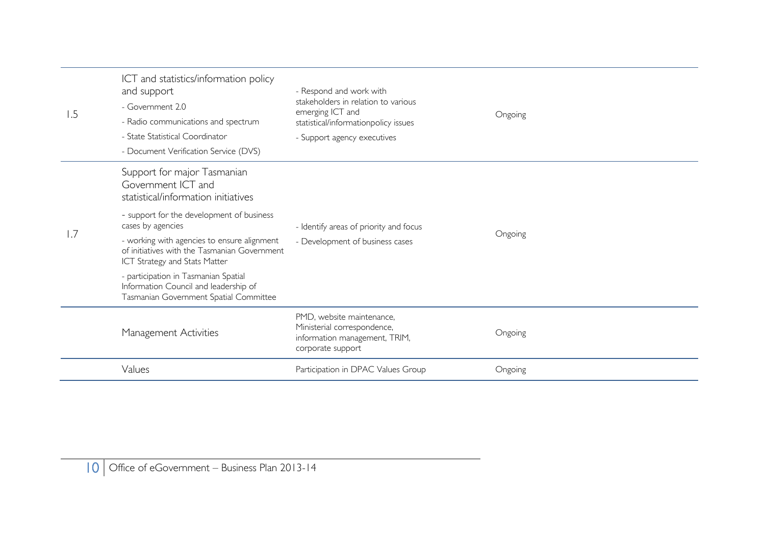| 1.5              | ICT and statistics/information policy<br>and support<br>- Government 2.0<br>- Radio communications and spectrum<br>- State Statistical Coordinator<br>- Document Verification Service (DVS) | - Respond and work with<br>stakeholders in relation to various<br>emerging ICT and<br>statistical/informationpolicy issues<br>- Support agency executives | Ongoing |  |
|------------------|---------------------------------------------------------------------------------------------------------------------------------------------------------------------------------------------|-----------------------------------------------------------------------------------------------------------------------------------------------------------|---------|--|
|                  | Support for major Tasmanian<br>Government ICT and<br>statistical/information initiatives                                                                                                    |                                                                                                                                                           |         |  |
| $\overline{1.7}$ | - support for the development of business<br>cases by agencies                                                                                                                              | - Identify areas of priority and focus                                                                                                                    |         |  |
|                  | - working with agencies to ensure alignment<br>of initiatives with the Tasmanian Government<br>ICT Strategy and Stats Matter                                                                | - Development of business cases                                                                                                                           | Ongoing |  |
|                  | - participation in Tasmanian Spatial<br>Information Council and leadership of<br>Tasmanian Government Spatial Committee                                                                     |                                                                                                                                                           |         |  |
|                  | Management Activities                                                                                                                                                                       | PMD, website maintenance,<br>Ministerial correspondence,<br>information management, TRIM,<br>corporate support                                            | Ongoing |  |
|                  | Values                                                                                                                                                                                      | Participation in DPAC Values Group                                                                                                                        | Ongoing |  |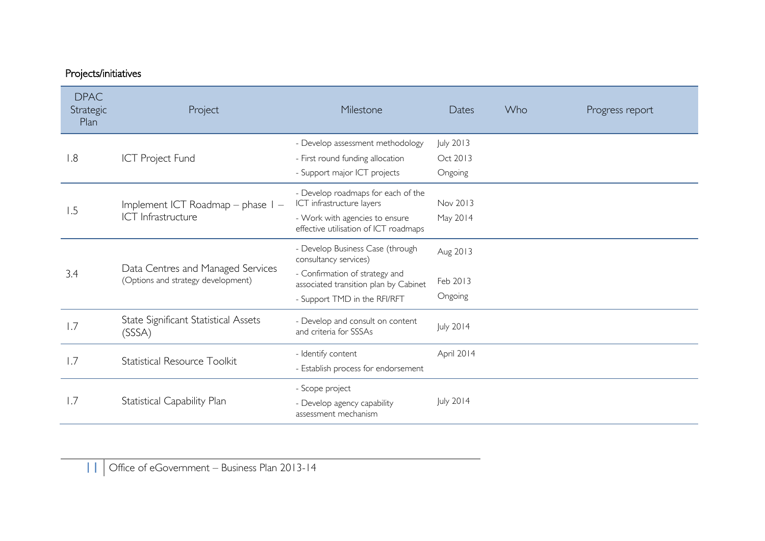### Projects/initiatives

| <b>DPAC</b><br>Strategic<br>Plan | Project                                                                 | Milestone                                                               | Dates      | Who | Progress report |
|----------------------------------|-------------------------------------------------------------------------|-------------------------------------------------------------------------|------------|-----|-----------------|
|                                  |                                                                         | - Develop assessment methodology                                        | July 2013  |     |                 |
| 1.8                              | <b>ICT Project Fund</b>                                                 | - First round funding allocation                                        | Oct 2013   |     |                 |
|                                  |                                                                         | - Support major ICT projects                                            | Ongoing    |     |                 |
| 1.5                              | Implement ICT Roadmap – phase I –                                       | - Develop roadmaps for each of the<br>ICT infrastructure layers         | Nov 2013   |     |                 |
|                                  | ICT Infrastructure                                                      | - Work with agencies to ensure<br>effective utilisation of ICT roadmaps | May 2014   |     |                 |
|                                  |                                                                         | - Develop Business Case (through<br>consultancy services)               | Aug 2013   |     |                 |
| 3.4                              | Data Centres and Managed Services<br>(Options and strategy development) | - Confirmation of strategy and<br>associated transition plan by Cabinet | Feb 2013   |     |                 |
|                                  |                                                                         | - Support TMD in the RFI/RFT                                            | Ongoing    |     |                 |
| 1.7                              | State Significant Statistical Assets<br>(SSSA)                          | - Develop and consult on content<br>and criteria for SSSAs              | July 2014  |     |                 |
|                                  |                                                                         | - Identify content                                                      | April 2014 |     |                 |
| 1.7                              | <b>Statistical Resource Toolkit</b>                                     | - Establish process for endorsement                                     |            |     |                 |
| 1.7                              | Statistical Capability Plan                                             | - Scope project<br>- Develop agency capability<br>assessment mechanism  | July 2014  |     |                 |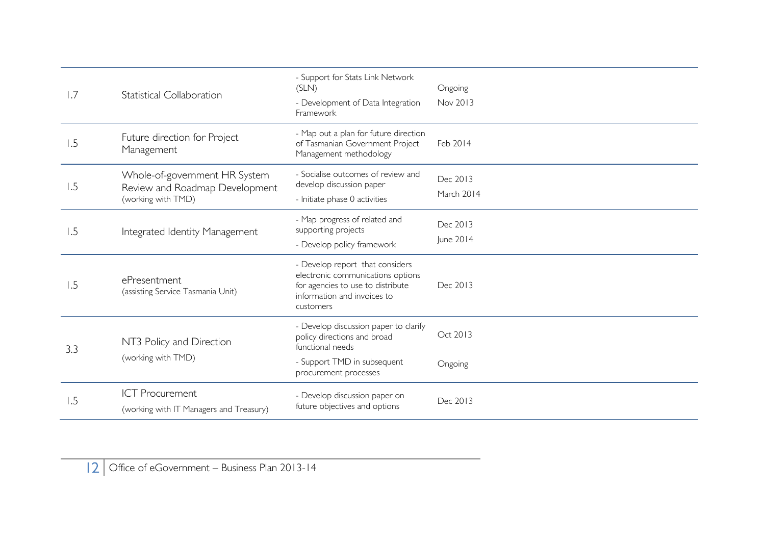| 1.7 | <b>Statistical Collaboration</b>                                                      | - Support for Stats Link Network<br>(SLN)<br>- Development of Data Integration<br>Framework                                                           | Ongoing<br>Nov 2013    |
|-----|---------------------------------------------------------------------------------------|-------------------------------------------------------------------------------------------------------------------------------------------------------|------------------------|
| 1.5 | Future direction for Project<br>Management                                            | - Map out a plan for future direction<br>of Tasmanian Government Project<br>Management methodology                                                    | Feb 2014               |
| 1.5 | Whole-of-government HR System<br>Review and Roadmap Development<br>(working with TMD) | - Socialise outcomes of review and<br>develop discussion paper<br>- Initiate phase 0 activities                                                       | Dec 2013<br>March 2014 |
| 1.5 | Integrated Identity Management                                                        | - Map progress of related and<br>supporting projects<br>- Develop policy framework                                                                    | Dec 2013<br>June 2014  |
| 1.5 | ePresentment<br>(assisting Service Tasmania Unit)                                     | - Develop report that considers<br>electronic communications options<br>for agencies to use to distribute<br>information and invoices to<br>customers | Dec 2013               |
| 3.3 | NT3 Policy and Direction                                                              | - Develop discussion paper to clarify<br>policy directions and broad<br>functional needs                                                              | Oct 2013               |
|     | (working with TMD)                                                                    | - Support TMD in subsequent<br>procurement processes                                                                                                  | Ongoing                |
| l.5 | <b>ICT Procurement</b><br>(working with IT Managers and Treasury)                     | - Develop discussion paper on<br>future objectives and options                                                                                        | Dec 2013               |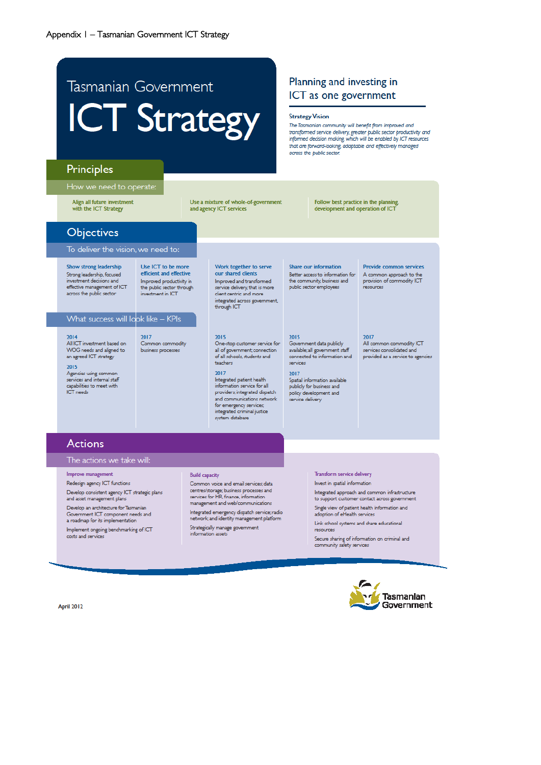# Tasmanian Government **ICT Strategy**

### Planning and investing in ICT as one government

#### **Strategy Vision**

The Tasmanian community will benefit from improved and transformed service delivery, greater public sector productivity and informed decision making, which will be enabled by ICT resources that are forward-looking, adaptable and effectively managed across the public sector.

### Principles

#### How we need to operate:

Align all future investment with the ICT Strategy

Use a mixture of whole-of-government and agency ICT services

Work together to serve

Improved and transformed

service delivery, that is more

our shared clients

client centric and more integrated across government,

through ICT

Follow best practice in the planning. development and operation of ICT

### Objectives

#### To deliver the vision, we need to:

Show strong leadership Strong leadership, focused investment decisions and effective management of ICT across the public sector

Use ICT to be more efficient and effective Improved productivity in the public sector through investment in ICT

#### What success will look like - KPIs

2014 All ICT investment based on WOG needs and aligned to an agreed ICT strategy

#### 2015

Agencies using common services and internal staff capabilities to meet with ICT needs

2017 Common commodity business processes

#### 2017

teachers

2015

Integrated patient health information service for all providers; integrated dispatch and communications network for emergency services; integrated criminal justice system database

all of government; connection

of all schools, students and

Share our information Better access to information for the community, business and public sector employees

available; all government staff

Spatial information available

publicly for business and

policy development and

service delivery

connected to information and

2015

services

2017

One-stop customer service for Government data publicly

#### Provide common services A common approach to the provision of commodity ICT resources

2017 All common commodity ICT services consolidated and

provided as a service to agencies

### **Actions**

#### The actions we take will:

#### Improve management

Redesign agency ICT functions

Develop consistent agency ICT strategic plans and asset management plans

Develop an architecture for Tasmanian Government ICT component needs and a roadmap for its implementation

Implement ongoing benchmarking of ICT costs and services

#### **Build capacity**

Common voice and email services; data centres/storage; business processes and services for HR, finance, information management and web/communications

Integrated emergency dispatch service; radio network; and identity management platform

Strategically manage government information assets

#### Transform service delivery

Invest in spatial information

Integrated approach and common infrastructure to support customer contact across government

Single view of patient health information and adoption of eHealth services

Link school systems and share educational resources

Secure sharing of information on criminal and community safety services

April 2012

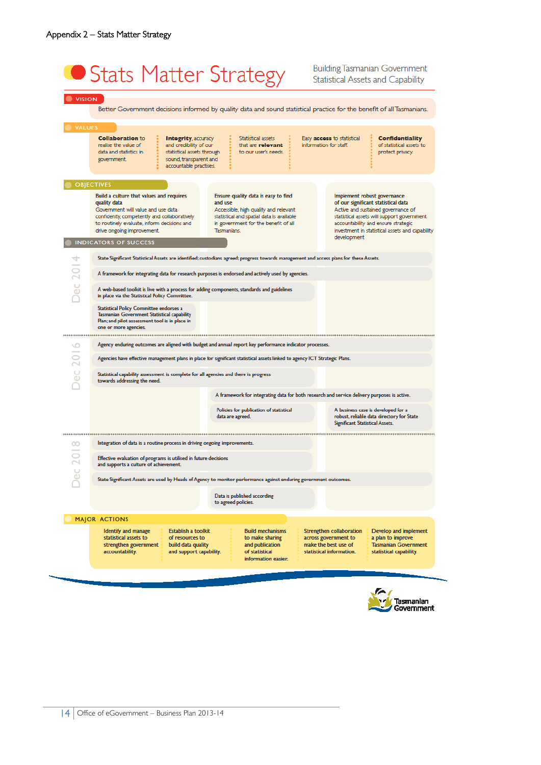# Stats Matter Strategy

**Building Tasmanian Government Statistical Assets and Capability** 

| <b>VISION</b>      |                                                                                                                                                                                                                                                                                                                                                                                                                            |                                                                                                                                                                                                                                                                 |
|--------------------|----------------------------------------------------------------------------------------------------------------------------------------------------------------------------------------------------------------------------------------------------------------------------------------------------------------------------------------------------------------------------------------------------------------------------|-----------------------------------------------------------------------------------------------------------------------------------------------------------------------------------------------------------------------------------------------------------------|
|                    | Better Government decisions informed by quality data and sound statistical practice for the benefit of all Tasmanians.                                                                                                                                                                                                                                                                                                     |                                                                                                                                                                                                                                                                 |
| <b>VALUES</b>      | <b>Collaboration to</b><br><b>Integrity, accuracy</b><br>Statistical assets<br>and credibility of our<br>realise the value of<br>that are rolovant<br>statistical assets through<br>to our user's needs.<br>data and statistics in<br>sound, transparent and<br>government.<br>accountable practises.                                                                                                                      | Easy <b>access</b> to statistical<br><b>Confidentiality</b><br>information for staff.<br>of statistical assets to<br>protect privacy.                                                                                                                           |
|                    | <b>OBJECTIVES</b>                                                                                                                                                                                                                                                                                                                                                                                                          |                                                                                                                                                                                                                                                                 |
|                    | Build a culture that values and requires<br>Ensure quality data is easy to find<br>and use<br>quality data<br>Government will value and use data<br>Accessible, high quality and relevant<br>statistical and spatial data is available<br>confidently, competently and collaboratively<br>in government for the benefit of all<br>to routinely evaluate, inform decisions and<br>drive ongoing improvement.<br>Tasmanians. | Implement robust governance<br>of our significant statistical data<br>Active and sustained governance of<br>statistical assets will support government<br>accountability and ensure strategic<br>investment in statistical assets and capability<br>development |
|                    | <b>INDICATORS OF SUCCESS</b>                                                                                                                                                                                                                                                                                                                                                                                               |                                                                                                                                                                                                                                                                 |
|                    | State Significant Statistical Assets are identified; custodians agreed; progress towards management and access plans for these Assets.                                                                                                                                                                                                                                                                                     |                                                                                                                                                                                                                                                                 |
|                    | A framework for integrating data for research purposes is endorsed and actively used by agencies.                                                                                                                                                                                                                                                                                                                          |                                                                                                                                                                                                                                                                 |
| <b>Dec 201</b>     | A web-based toolkit is live with a process for adding components, standards and guidelines<br>in place via the Statistical Policy Committee.                                                                                                                                                                                                                                                                               |                                                                                                                                                                                                                                                                 |
|                    | Statistical Policy Committee endorses a<br>Tasmanian Government Statistical capability<br>Plan; and pilot assessment tool is in place in<br>one or more agencies.                                                                                                                                                                                                                                                          |                                                                                                                                                                                                                                                                 |
| ╰╜                 | Agency enduring outcomes are aligned with budget and annual report key performance indicator processes.                                                                                                                                                                                                                                                                                                                    |                                                                                                                                                                                                                                                                 |
|                    | Agencies have effective management plans in place for significant statistical assets linked to agency ICT Strategic Plans.                                                                                                                                                                                                                                                                                                 |                                                                                                                                                                                                                                                                 |
| $\frac{C}{\omega}$ | Statistical capability assessment is complete for all agencies and there is progress<br>towards addressing the need.                                                                                                                                                                                                                                                                                                       |                                                                                                                                                                                                                                                                 |
|                    | A framework for integrating data for both research and service delivery purposes is active.                                                                                                                                                                                                                                                                                                                                |                                                                                                                                                                                                                                                                 |
|                    | Policies for publication of statistical<br>data are agreed.                                                                                                                                                                                                                                                                                                                                                                | A business case is developed for a<br>robust, reliable data directory for State<br>Significant Statistical Assets.                                                                                                                                              |
| <br>$\infty$       | Integration of data is a routine process in driving ongoing improvements.                                                                                                                                                                                                                                                                                                                                                  |                                                                                                                                                                                                                                                                 |
| <b>Dec 201</b>     | Effective evaluation of programs is utilised in future decisions<br>and supports a culture of achievement.                                                                                                                                                                                                                                                                                                                 |                                                                                                                                                                                                                                                                 |
|                    | State Significant Assets are used by Heads of Agency to monitor performance against enduring government outcomes.                                                                                                                                                                                                                                                                                                          |                                                                                                                                                                                                                                                                 |
|                    | Data is published according<br>to agreed policies.                                                                                                                                                                                                                                                                                                                                                                         |                                                                                                                                                                                                                                                                 |
|                    | <b>MAJOR ACTIONS</b>                                                                                                                                                                                                                                                                                                                                                                                                       |                                                                                                                                                                                                                                                                 |
|                    | Establish a toolkit<br><b>Build mechanisms</b><br>Identify and manage<br>statistical assets to<br>of resources to<br>to make sharing<br>strengthen government<br>build data quality<br>and publication<br>of statistical<br>accountability.<br>and support capability.<br>information easier.                                                                                                                              | Strengthen collaboration<br>Develop and implement<br>across government to<br>a plan to improve<br>make the best use of<br><b>Tasmanian Government</b><br>statistical information.<br>statistical capability.                                                    |



and the second contract of the contract of the contract of the contract of the contract of the contract of the contract of the contract of the contract of the contract of the contract of the contract of the contract of the

14 Office of eGovernment – Business Plan 2013-14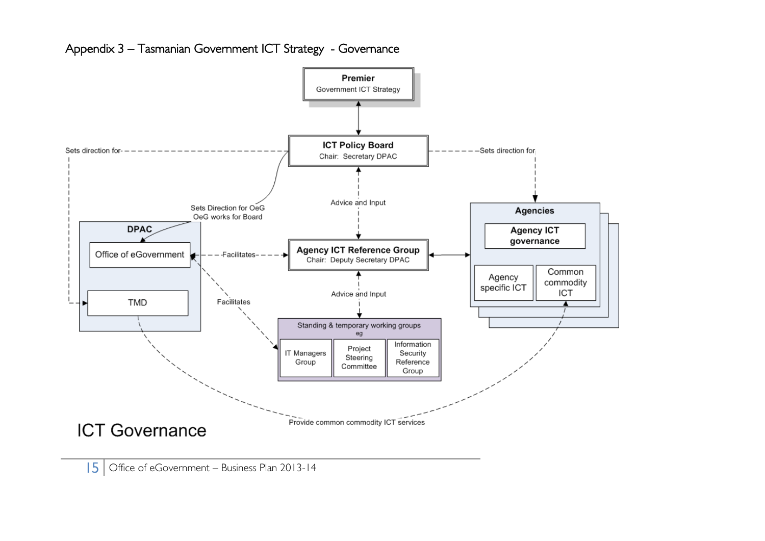

#### Appendix 3 – Tasmanian Government ICT Strategy - Governance

15 Office of eGovernment – Business Plan 2013-14